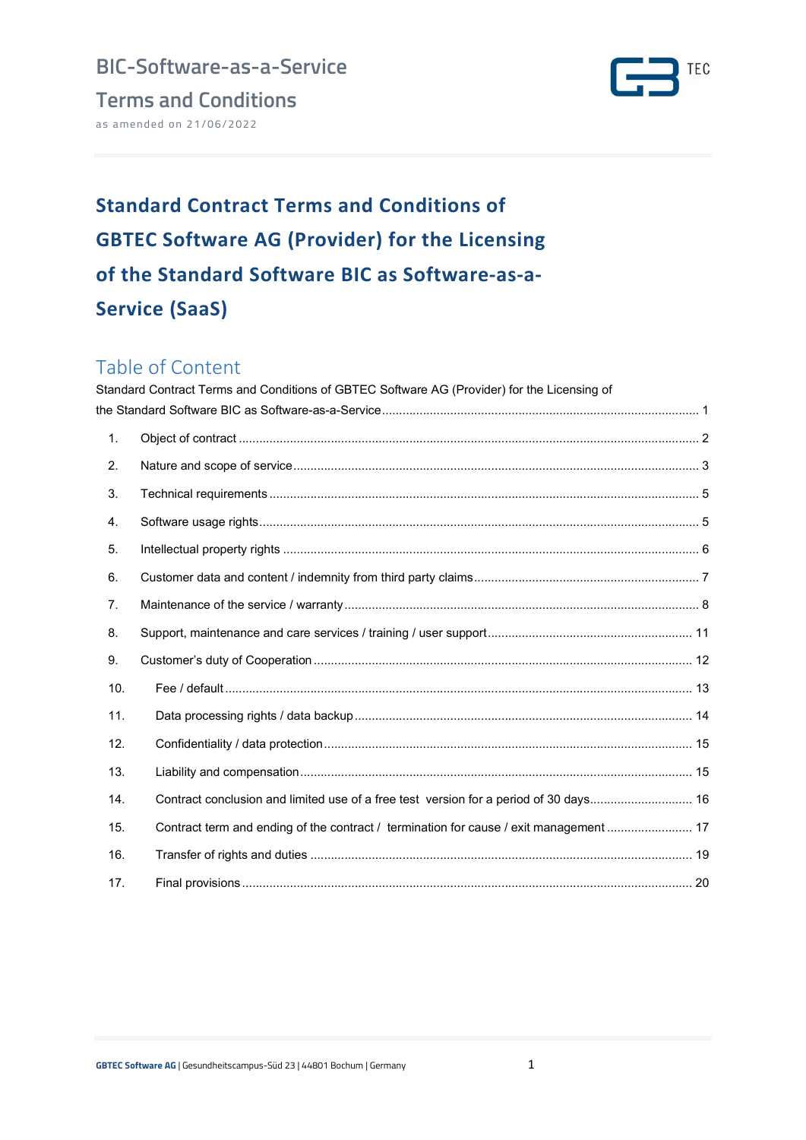Terms and Conditions as amended on 21/06/2022



# Standard Contract Terms and Conditions of GBTEC Software AG (Provider) for the Licensing of the Standard Software BIC as Software-as-a-Service (SaaS)

# Table of Content

|                | Standard Contract Terms and Conditions of GBTEC Software AG (Provider) for the Licensing of |  |
|----------------|---------------------------------------------------------------------------------------------|--|
|                |                                                                                             |  |
| 1.             |                                                                                             |  |
| 2.             |                                                                                             |  |
| 3.             |                                                                                             |  |
| 4.             |                                                                                             |  |
| 5.             |                                                                                             |  |
| 6.             |                                                                                             |  |
| 7 <sub>1</sub> |                                                                                             |  |
| 8.             |                                                                                             |  |
| 9.             |                                                                                             |  |
| 10.            |                                                                                             |  |
| 11.            |                                                                                             |  |
| 12.            |                                                                                             |  |
| 13.            |                                                                                             |  |
| 14.            | Contract conclusion and limited use of a free test version for a period of 30 days 16       |  |
| 15.            | Contract term and ending of the contract / termination for cause / exit management  17      |  |
| 16.            |                                                                                             |  |
| 17.            |                                                                                             |  |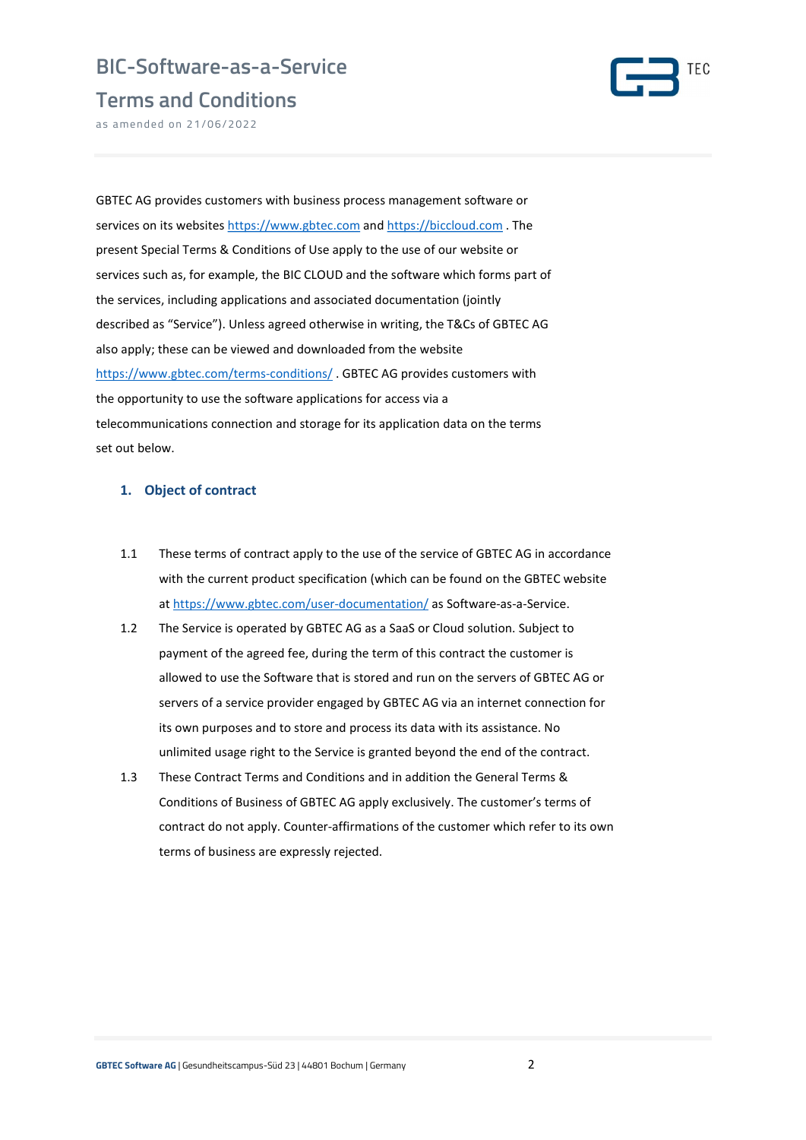



as amended on 21/06/2022

GBTEC AG provides customers with business process management software or services on its websites https://www.gbtec.com and https://biccloud.com. The present Special Terms & Conditions of Use apply to the use of our website or services such as, for example, the BIC CLOUD and the software which forms part of the services, including applications and associated documentation (jointly described as "Service"). Unless agreed otherwise in writing, the T&Cs of GBTEC AG also apply; these can be viewed and downloaded from the website https://www.gbtec.com/terms-conditions/ . GBTEC AG provides customers with the opportunity to use the software applications for access via a telecommunications connection and storage for its application data on the terms set out below.

#### 1. Object of contract

- 1.1 These terms of contract apply to the use of the service of GBTEC AG in accordance with the current product specification (which can be found on the GBTEC website at https://www.gbtec.com/user-documentation/ as Software-as-a-Service.
- 1.2 The Service is operated by GBTEC AG as a SaaS or Cloud solution. Subject to payment of the agreed fee, during the term of this contract the customer is allowed to use the Software that is stored and run on the servers of GBTEC AG or servers of a service provider engaged by GBTEC AG via an internet connection for its own purposes and to store and process its data with its assistance. No unlimited usage right to the Service is granted beyond the end of the contract.
- 1.3 These Contract Terms and Conditions and in addition the General Terms & Conditions of Business of GBTEC AG apply exclusively. The customer's terms of contract do not apply. Counter-affirmations of the customer which refer to its own terms of business are expressly rejected.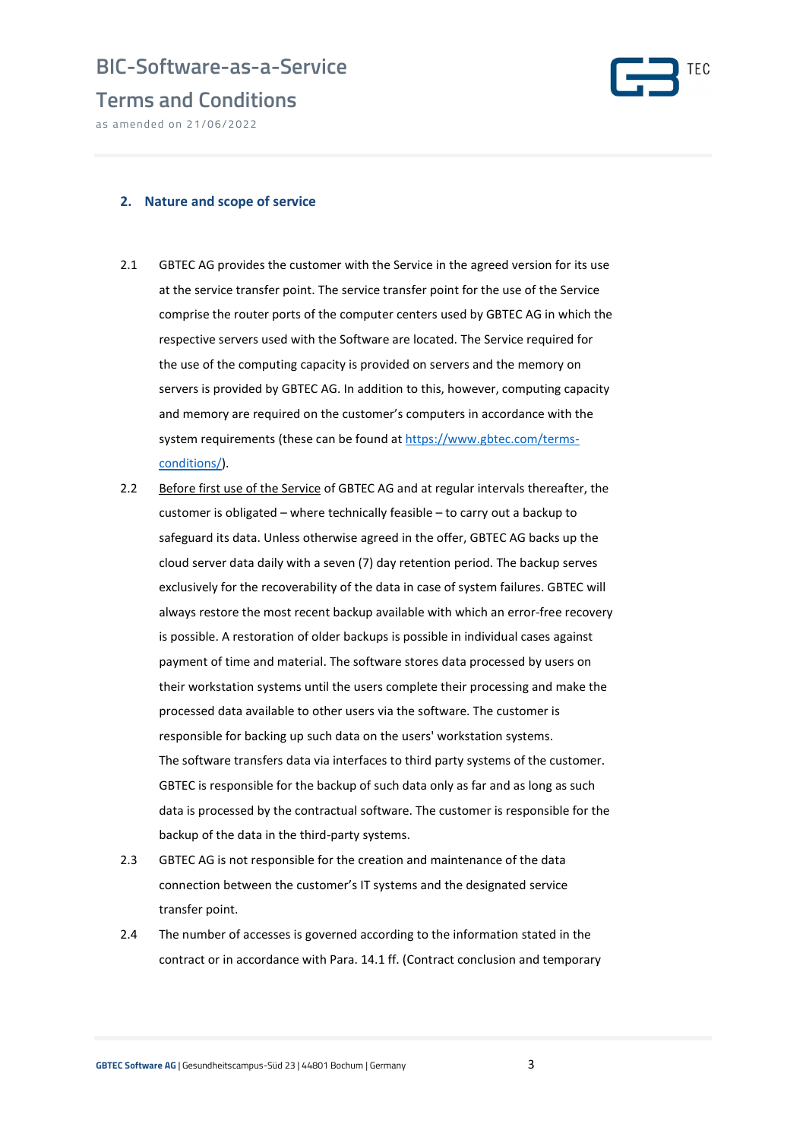

as amended on 21/06/2022



#### 2. Nature and scope of service

- 2.1 GBTEC AG provides the customer with the Service in the agreed version for its use at the service transfer point. The service transfer point for the use of the Service comprise the router ports of the computer centers used by GBTEC AG in which the respective servers used with the Software are located. The Service required for the use of the computing capacity is provided on servers and the memory on servers is provided by GBTEC AG. In addition to this, however, computing capacity and memory are required on the customer's computers in accordance with the system requirements (these can be found at https://www.gbtec.com/termsconditions/).
- 2.2 Before first use of the Service of GBTEC AG and at regular intervals thereafter, the customer is obligated – where technically feasible – to carry out a backup to safeguard its data. Unless otherwise agreed in the offer, GBTEC AG backs up the cloud server data daily with a seven (7) day retention period. The backup serves exclusively for the recoverability of the data in case of system failures. GBTEC will always restore the most recent backup available with which an error-free recovery is possible. A restoration of older backups is possible in individual cases against payment of time and material. The software stores data processed by users on their workstation systems until the users complete their processing and make the processed data available to other users via the software. The customer is responsible for backing up such data on the users' workstation systems. The software transfers data via interfaces to third party systems of the customer. GBTEC is responsible for the backup of such data only as far and as long as such data is processed by the contractual software. The customer is responsible for the backup of the data in the third-party systems.
- 2.3 GBTEC AG is not responsible for the creation and maintenance of the data connection between the customer's IT systems and the designated service transfer point.
- 2.4 The number of accesses is governed according to the information stated in the contract or in accordance with Para. 14.1 ff. (Contract conclusion and temporary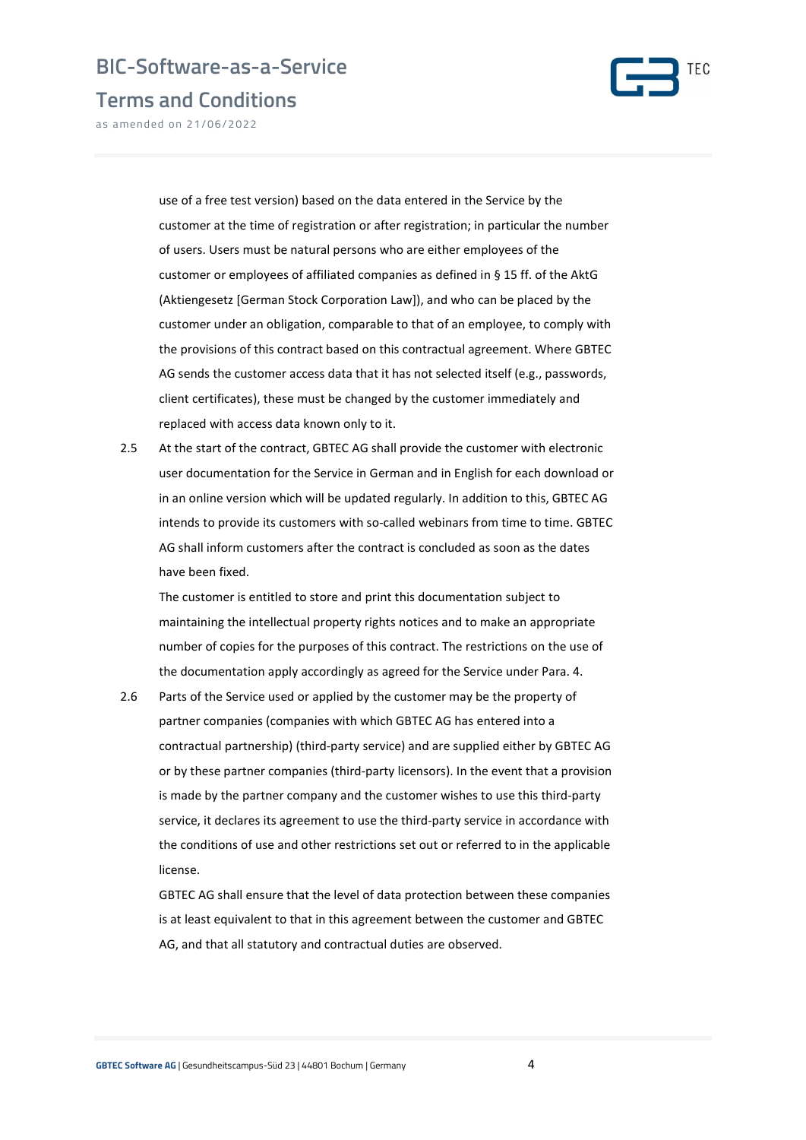

Terms and Conditions

as amended on 21/06/2022

use of a free test version) based on the data entered in the Service by the customer at the time of registration or after registration; in particular the number of users. Users must be natural persons who are either employees of the customer or employees of affiliated companies as defined in § 15 ff. of the AktG (Aktiengesetz [German Stock Corporation Law]), and who can be placed by the customer under an obligation, comparable to that of an employee, to comply with the provisions of this contract based on this contractual agreement. Where GBTEC AG sends the customer access data that it has not selected itself (e.g., passwords, client certificates), these must be changed by the customer immediately and replaced with access data known only to it.

2.5 At the start of the contract, GBTEC AG shall provide the customer with electronic user documentation for the Service in German and in English for each download or in an online version which will be updated regularly. In addition to this, GBTEC AG intends to provide its customers with so-called webinars from time to time. GBTEC AG shall inform customers after the contract is concluded as soon as the dates have been fixed.

The customer is entitled to store and print this documentation subject to maintaining the intellectual property rights notices and to make an appropriate number of copies for the purposes of this contract. The restrictions on the use of the documentation apply accordingly as agreed for the Service under Para. 4.

2.6 Parts of the Service used or applied by the customer may be the property of partner companies (companies with which GBTEC AG has entered into a contractual partnership) (third-party service) and are supplied either by GBTEC AG or by these partner companies (third-party licensors). In the event that a provision is made by the partner company and the customer wishes to use this third-party service, it declares its agreement to use the third-party service in accordance with the conditions of use and other restrictions set out or referred to in the applicable license.

GBTEC AG shall ensure that the level of data protection between these companies is at least equivalent to that in this agreement between the customer and GBTEC AG, and that all statutory and contractual duties are observed.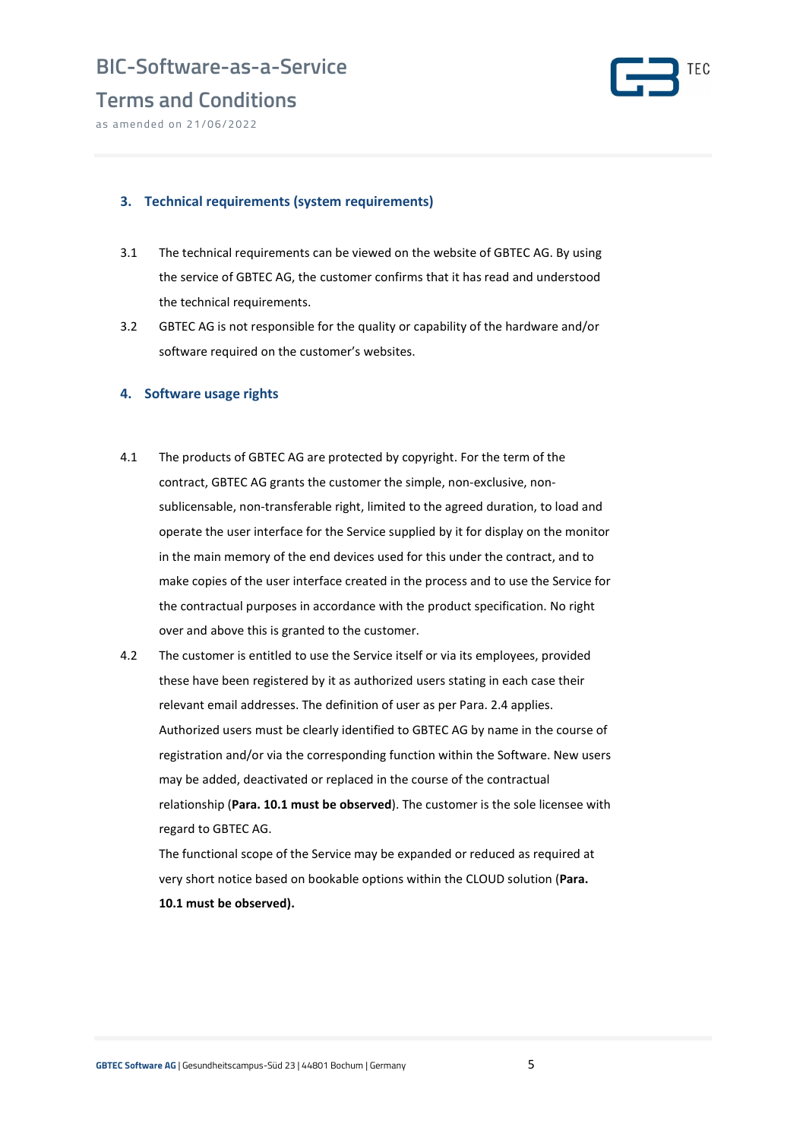



as amended on 21/06/2022

#### 3. Technical requirements (system requirements)

- 3.1 The technical requirements can be viewed on the website of GBTEC AG. By using the service of GBTEC AG, the customer confirms that it has read and understood the technical requirements.
- 3.2 GBTEC AG is not responsible for the quality or capability of the hardware and/or software required on the customer's websites.

#### 4. Software usage rights

- 4.1 The products of GBTEC AG are protected by copyright. For the term of the contract, GBTEC AG grants the customer the simple, non-exclusive, nonsublicensable, non-transferable right, limited to the agreed duration, to load and operate the user interface for the Service supplied by it for display on the monitor in the main memory of the end devices used for this under the contract, and to make copies of the user interface created in the process and to use the Service for the contractual purposes in accordance with the product specification. No right over and above this is granted to the customer.
- 4.2 The customer is entitled to use the Service itself or via its employees, provided these have been registered by it as authorized users stating in each case their relevant email addresses. The definition of user as per Para. 2.4 applies. Authorized users must be clearly identified to GBTEC AG by name in the course of registration and/or via the corresponding function within the Software. New users may be added, deactivated or replaced in the course of the contractual relationship (Para. 10.1 must be observed). The customer is the sole licensee with regard to GBTEC AG.

The functional scope of the Service may be expanded or reduced as required at very short notice based on bookable options within the CLOUD solution (Para. 10.1 must be observed).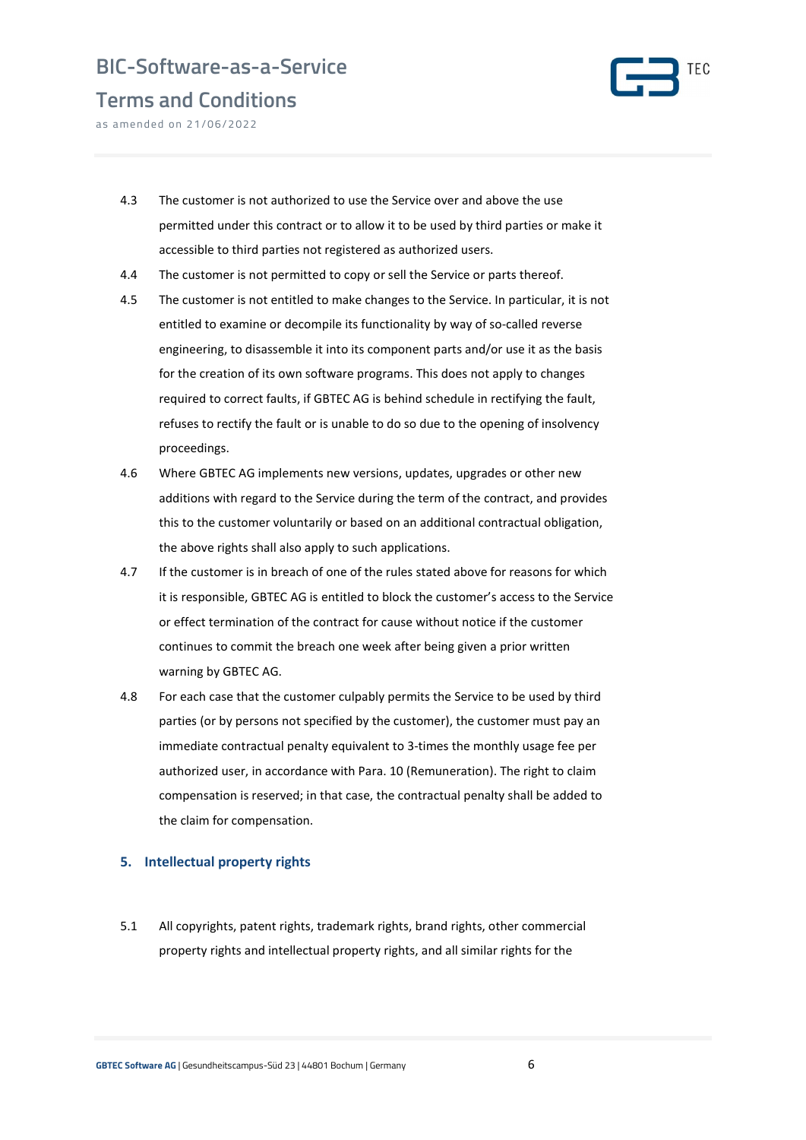

Terms and Conditions as amended on 21/06/2022

- 4.3 The customer is not authorized to use the Service over and above the use permitted under this contract or to allow it to be used by third parties or make it accessible to third parties not registered as authorized users.
- 4.4 The customer is not permitted to copy or sell the Service or parts thereof.
- 4.5 The customer is not entitled to make changes to the Service. In particular, it is not entitled to examine or decompile its functionality by way of so-called reverse engineering, to disassemble it into its component parts and/or use it as the basis for the creation of its own software programs. This does not apply to changes required to correct faults, if GBTEC AG is behind schedule in rectifying the fault, refuses to rectify the fault or is unable to do so due to the opening of insolvency proceedings.
- 4.6 Where GBTEC AG implements new versions, updates, upgrades or other new additions with regard to the Service during the term of the contract, and provides this to the customer voluntarily or based on an additional contractual obligation, the above rights shall also apply to such applications.
- 4.7 If the customer is in breach of one of the rules stated above for reasons for which it is responsible, GBTEC AG is entitled to block the customer's access to the Service or effect termination of the contract for cause without notice if the customer continues to commit the breach one week after being given a prior written warning by GBTEC AG.
- 4.8 For each case that the customer culpably permits the Service to be used by third parties (or by persons not specified by the customer), the customer must pay an immediate contractual penalty equivalent to 3-times the monthly usage fee per authorized user, in accordance with Para. 10 (Remuneration). The right to claim compensation is reserved; in that case, the contractual penalty shall be added to the claim for compensation.

#### 5. Intellectual property rights

5.1 All copyrights, patent rights, trademark rights, brand rights, other commercial property rights and intellectual property rights, and all similar rights for the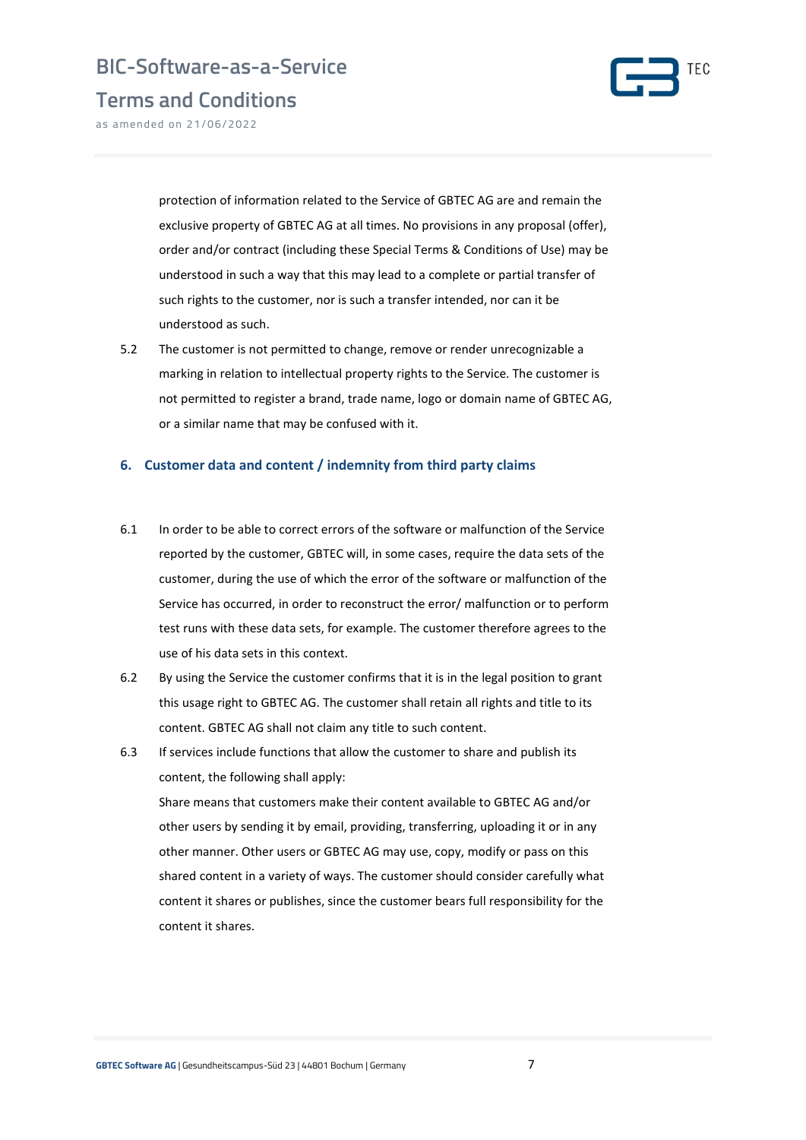

Terms and Conditions

as amended on 21/06/2022

protection of information related to the Service of GBTEC AG are and remain the exclusive property of GBTEC AG at all times. No provisions in any proposal (offer), order and/or contract (including these Special Terms & Conditions of Use) may be understood in such a way that this may lead to a complete or partial transfer of such rights to the customer, nor is such a transfer intended, nor can it be understood as such.

5.2 The customer is not permitted to change, remove or render unrecognizable a marking in relation to intellectual property rights to the Service. The customer is not permitted to register a brand, trade name, logo or domain name of GBTEC AG, or a similar name that may be confused with it.

#### 6. Customer data and content / indemnity from third party claims

- 6.1 In order to be able to correct errors of the software or malfunction of the Service reported by the customer, GBTEC will, in some cases, require the data sets of the customer, during the use of which the error of the software or malfunction of the Service has occurred, in order to reconstruct the error/ malfunction or to perform test runs with these data sets, for example. The customer therefore agrees to the use of his data sets in this context.
- 6.2 By using the Service the customer confirms that it is in the legal position to grant this usage right to GBTEC AG. The customer shall retain all rights and title to its content. GBTEC AG shall not claim any title to such content.
- 6.3 If services include functions that allow the customer to share and publish its content, the following shall apply: Share means that customers make their content available to GBTEC AG and/or other users by sending it by email, providing, transferring, uploading it or in any other manner. Other users or GBTEC AG may use, copy, modify or pass on this shared content in a variety of ways. The customer should consider carefully what content it shares or publishes, since the customer bears full responsibility for the content it shares.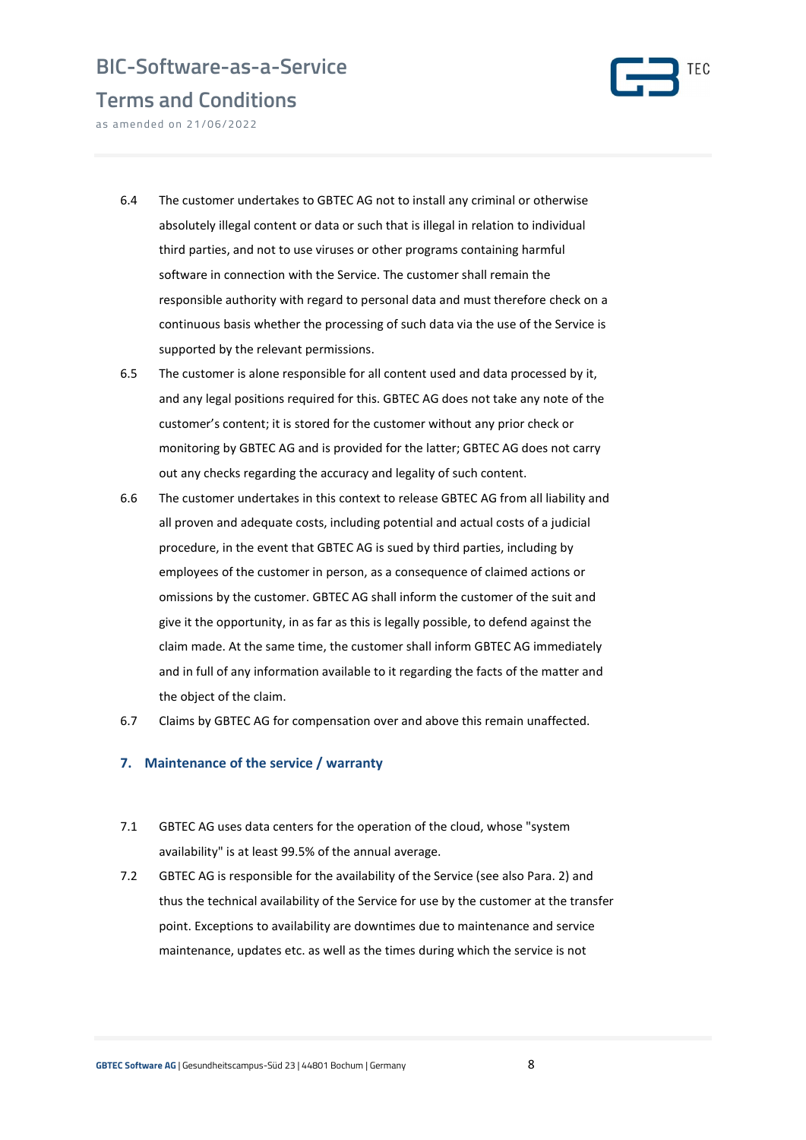

Terms and Conditions

as amended on 21/06/2022

- 6.4 The customer undertakes to GBTEC AG not to install any criminal or otherwise absolutely illegal content or data or such that is illegal in relation to individual third parties, and not to use viruses or other programs containing harmful software in connection with the Service. The customer shall remain the responsible authority with regard to personal data and must therefore check on a continuous basis whether the processing of such data via the use of the Service is supported by the relevant permissions.
- 6.5 The customer is alone responsible for all content used and data processed by it, and any legal positions required for this. GBTEC AG does not take any note of the customer's content; it is stored for the customer without any prior check or monitoring by GBTEC AG and is provided for the latter; GBTEC AG does not carry out any checks regarding the accuracy and legality of such content.
- 6.6 The customer undertakes in this context to release GBTEC AG from all liability and all proven and adequate costs, including potential and actual costs of a judicial procedure, in the event that GBTEC AG is sued by third parties, including by employees of the customer in person, as a consequence of claimed actions or omissions by the customer. GBTEC AG shall inform the customer of the suit and give it the opportunity, in as far as this is legally possible, to defend against the claim made. At the same time, the customer shall inform GBTEC AG immediately and in full of any information available to it regarding the facts of the matter and the object of the claim.
- 6.7 Claims by GBTEC AG for compensation over and above this remain unaffected.

#### 7. Maintenance of the service / warranty

- 7.1 GBTEC AG uses data centers for the operation of the cloud, whose "system availability" is at least 99.5% of the annual average.
- 7.2 GBTEC AG is responsible for the availability of the Service (see also Para. 2) and thus the technical availability of the Service for use by the customer at the transfer point. Exceptions to availability are downtimes due to maintenance and service maintenance, updates etc. as well as the times during which the service is not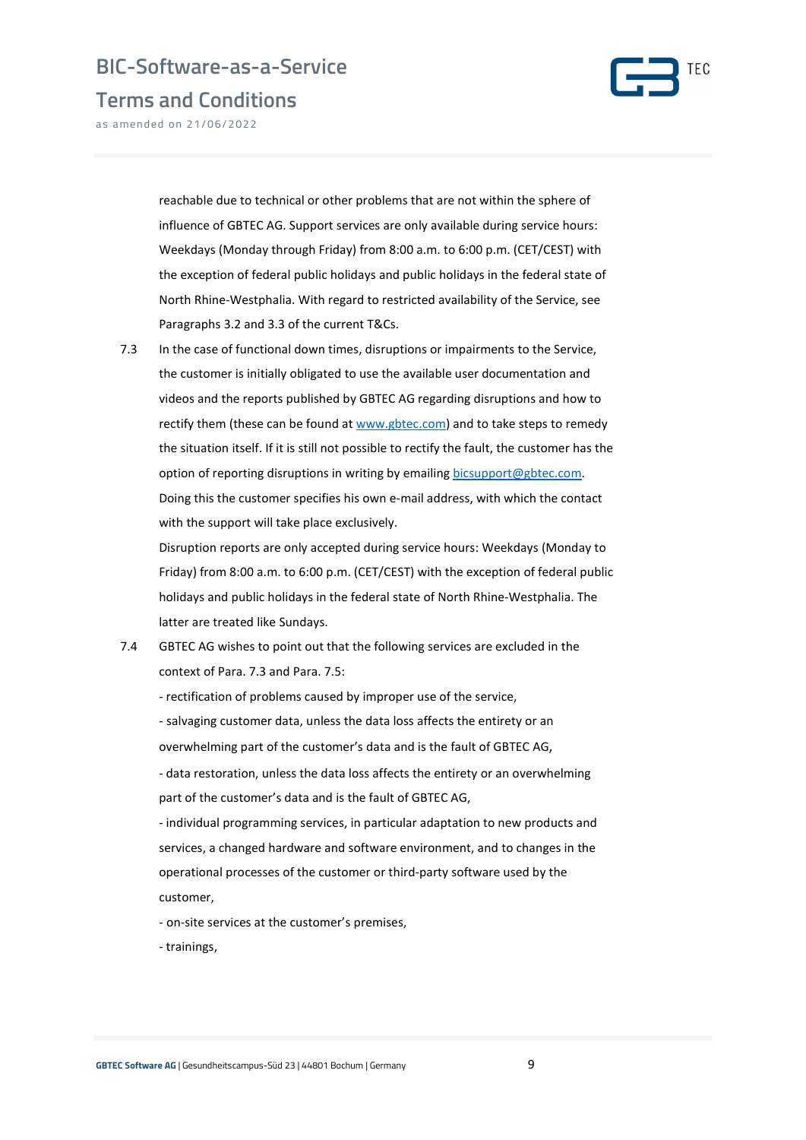



as amended on 21/06/2022

reachable due to technical or other problems that are not within the sphere of influence of GBTEC AG. Support services are only available during service hours: Weekdays (Monday through Friday) from 8:00 a.m. to 6:00 p.m. (CET/CEST) with the exception of federal public holidays and public holidays in the federal state of North Rhine-Westphalia. With regard to restricted availability of the Service, see Paragraphs 3.2 and 3.3 of the current T&Cs.

7.3 In the case of functional down times, disruptions or impairments to the Service, the customer is initially obligated to use the available user documentation and videos and the reports published by GBTEC AG regarding disruptions and how to rectify them (these can be found at www.gbtec.com) and to take steps to remedy the situation itself. If it is still not possible to rectify the fault, the customer has the option of reporting disruptions in writing by emailing bicsupport@gbtec.com. Doing this the customer specifies his own e-mail address, with which the contact with the support will take place exclusively.

Disruption reports are only accepted during service hours: Weekdays (Monday to Friday) from 8:00 a.m. to 6:00 p.m. (CET/CEST) with the exception of federal public holidays and public holidays in the federal state of North Rhine-Westphalia. The latter are treated like Sundays.

7.4 GBTEC AG wishes to point out that the following services are excluded in the context of Para. 7.3 and Para. 7.5:

- rectification of problems caused by improper use of the service,

- salvaging customer data, unless the data loss affects the entirety or an overwhelming part of the customer's data and is the fault of GBTEC AG,

- data restoration, unless the data loss affects the entirety or an overwhelming part of the customer's data and is the fault of GBTEC AG,

- individual programming services, in particular adaptation to new products and services, a changed hardware and software environment, and to changes in the operational processes of the customer or third-party software used by the customer,

- on-site services at the customer's premises,

- trainings,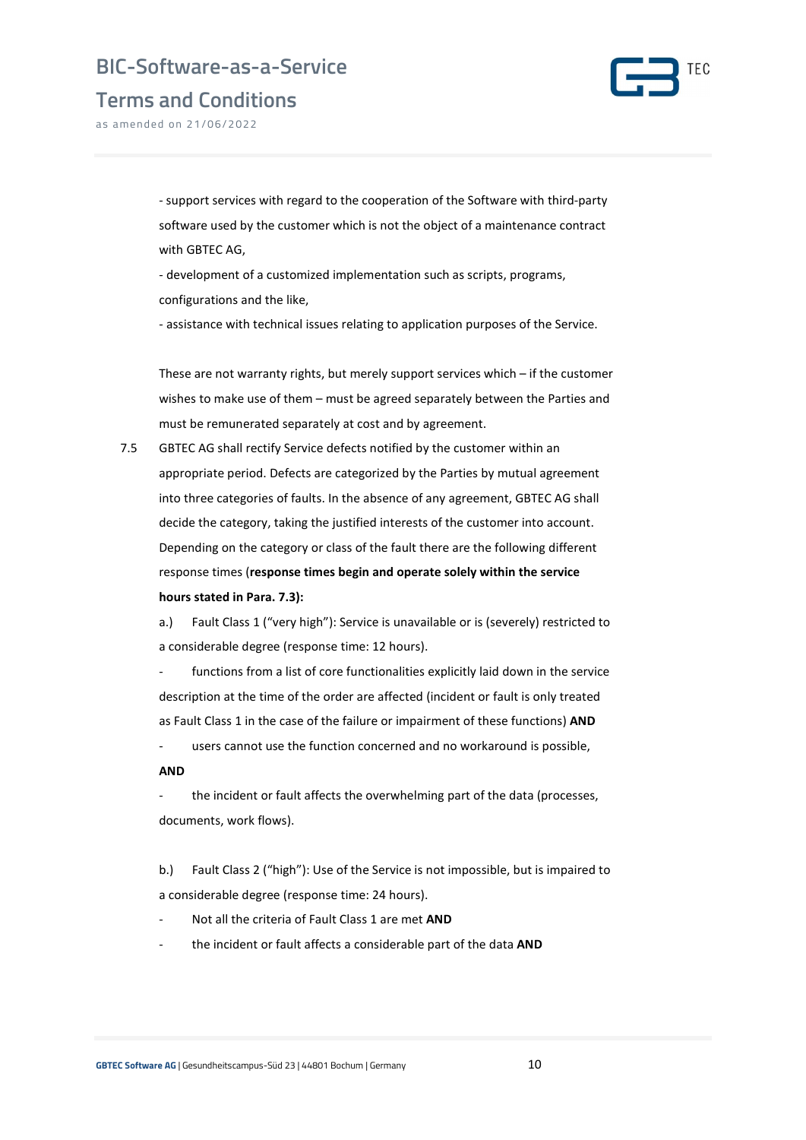



as amended on 21/06/2022

- support services with regard to the cooperation of the Software with third-party software used by the customer which is not the object of a maintenance contract with GBTEC AG,

- development of a customized implementation such as scripts, programs, configurations and the like,

- assistance with technical issues relating to application purposes of the Service.

These are not warranty rights, but merely support services which – if the customer wishes to make use of them – must be agreed separately between the Parties and must be remunerated separately at cost and by agreement.

7.5 GBTEC AG shall rectify Service defects notified by the customer within an appropriate period. Defects are categorized by the Parties by mutual agreement into three categories of faults. In the absence of any agreement, GBTEC AG shall decide the category, taking the justified interests of the customer into account. Depending on the category or class of the fault there are the following different response times (response times begin and operate solely within the service hours stated in Para. 7.3):

a.) Fault Class 1 ("very high"): Service is unavailable or is (severely) restricted to a considerable degree (response time: 12 hours).

functions from a list of core functionalities explicitly laid down in the service description at the time of the order are affected (incident or fault is only treated as Fault Class 1 in the case of the failure or impairment of these functions) AND

users cannot use the function concerned and no workaround is possible,

#### AND

the incident or fault affects the overwhelming part of the data (processes, documents, work flows).

b.) Fault Class 2 ("high"): Use of the Service is not impossible, but is impaired to a considerable degree (response time: 24 hours).

- Not all the criteria of Fault Class 1 are met AND
- the incident or fault affects a considerable part of the data AND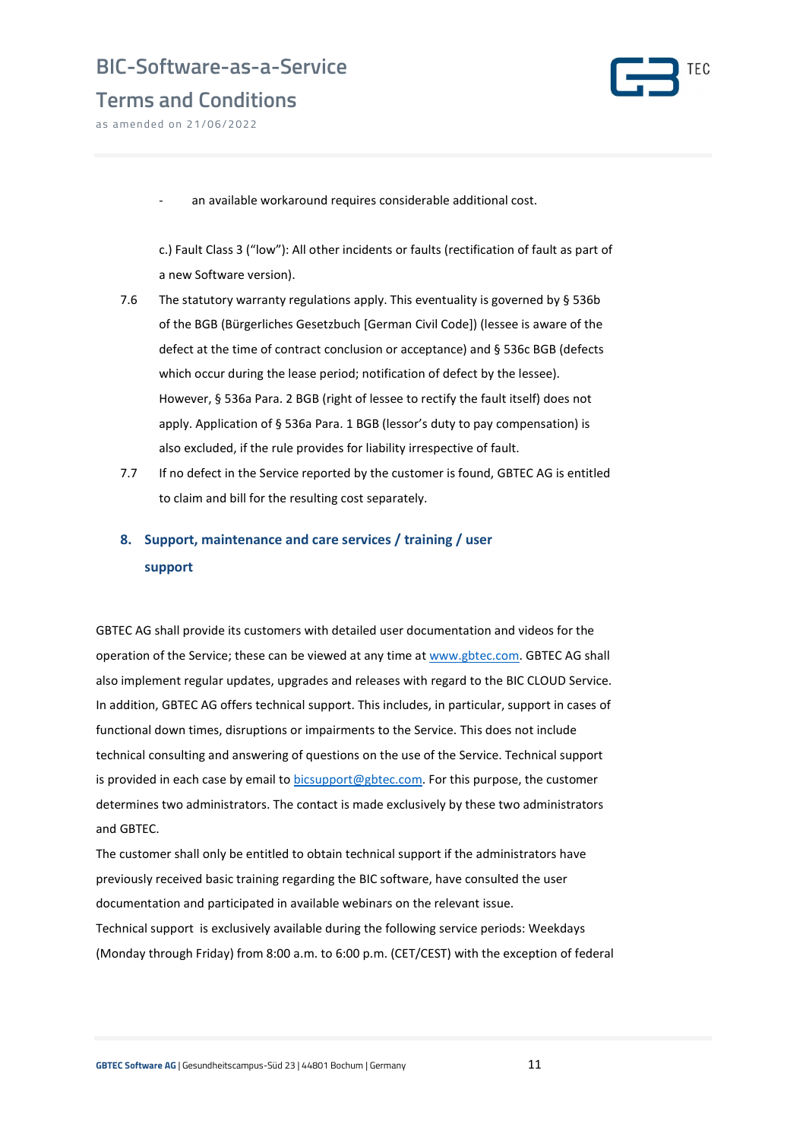



as amended on 21/06/2022

an available workaround requires considerable additional cost.

c.) Fault Class 3 ("low"): All other incidents or faults (rectification of fault as part of a new Software version).

- 7.6 The statutory warranty regulations apply. This eventuality is governed by § 536b of the BGB (Bürgerliches Gesetzbuch [German Civil Code]) (lessee is aware of the defect at the time of contract conclusion or acceptance) and § 536c BGB (defects which occur during the lease period; notification of defect by the lessee). However, § 536a Para. 2 BGB (right of lessee to rectify the fault itself) does not apply. Application of § 536a Para. 1 BGB (lessor's duty to pay compensation) is also excluded, if the rule provides for liability irrespective of fault.
- 7.7 If no defect in the Service reported by the customer is found, GBTEC AG is entitled to claim and bill for the resulting cost separately.

### 8. Support, maintenance and care services / training / user support

GBTEC AG shall provide its customers with detailed user documentation and videos for the operation of the Service; these can be viewed at any time at www.gbtec.com. GBTEC AG shall also implement regular updates, upgrades and releases with regard to the BIC CLOUD Service. In addition, GBTEC AG offers technical support. This includes, in particular, support in cases of functional down times, disruptions or impairments to the Service. This does not include technical consulting and answering of questions on the use of the Service. Technical support is provided in each case by email to bicsupport $\mathcal{Q}_S$ gbtec.com. For this purpose, the customer determines two administrators. The contact is made exclusively by these two administrators and GBTEC.

The customer shall only be entitled to obtain technical support if the administrators have previously received basic training regarding the BIC software, have consulted the user documentation and participated in available webinars on the relevant issue. Technical support is exclusively available during the following service periods: Weekdays (Monday through Friday) from 8:00 a.m. to 6:00 p.m. (CET/CEST) with the exception of federal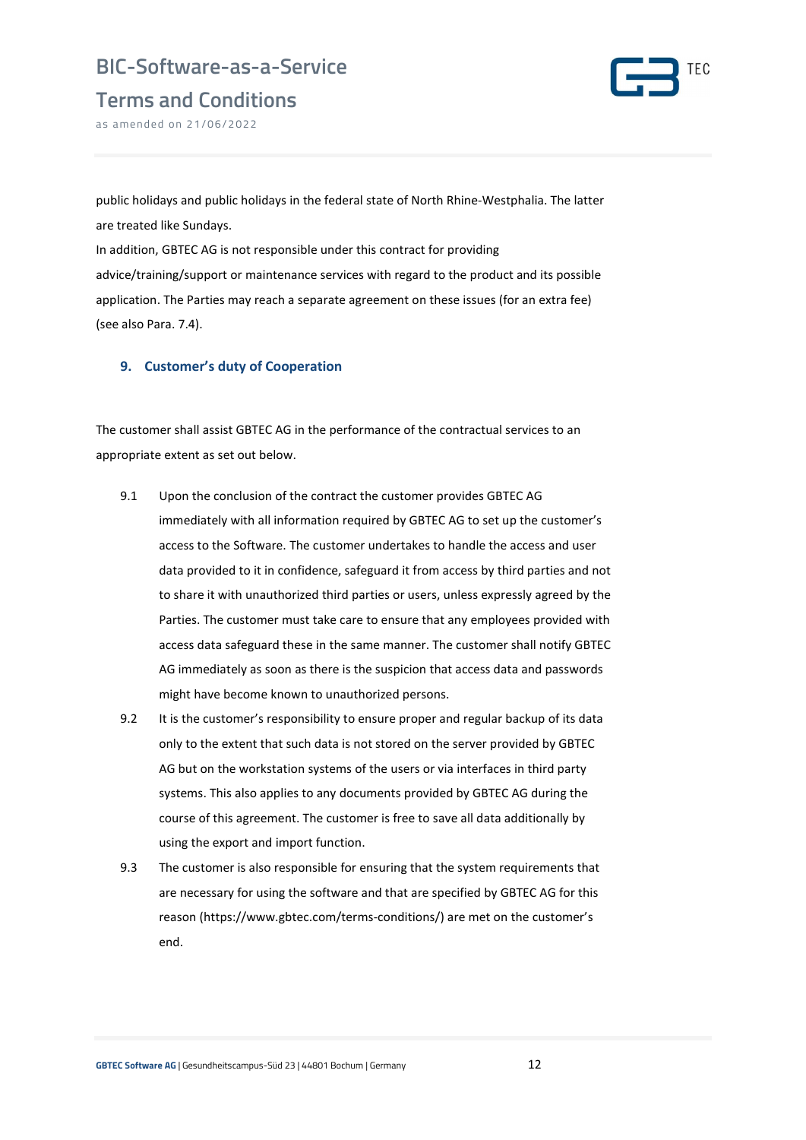

Terms and Conditions

as amended on 21/06/2022

public holidays and public holidays in the federal state of North Rhine-Westphalia. The latter are treated like Sundays.

In addition, GBTEC AG is not responsible under this contract for providing advice/training/support or maintenance services with regard to the product and its possible application. The Parties may reach a separate agreement on these issues (for an extra fee) (see also Para. 7.4).

### 9. Customer's duty of Cooperation

The customer shall assist GBTEC AG in the performance of the contractual services to an appropriate extent as set out below.

- 9.1 Upon the conclusion of the contract the customer provides GBTEC AG immediately with all information required by GBTEC AG to set up the customer's access to the Software. The customer undertakes to handle the access and user data provided to it in confidence, safeguard it from access by third parties and not to share it with unauthorized third parties or users, unless expressly agreed by the Parties. The customer must take care to ensure that any employees provided with access data safeguard these in the same manner. The customer shall notify GBTEC AG immediately as soon as there is the suspicion that access data and passwords might have become known to unauthorized persons.
- 9.2 It is the customer's responsibility to ensure proper and regular backup of its data only to the extent that such data is not stored on the server provided by GBTEC AG but on the workstation systems of the users or via interfaces in third party systems. This also applies to any documents provided by GBTEC AG during the course of this agreement. The customer is free to save all data additionally by using the export and import function.
- 9.3 The customer is also responsible for ensuring that the system requirements that are necessary for using the software and that are specified by GBTEC AG for this reason (https://www.gbtec.com/terms-conditions/) are met on the customer's end.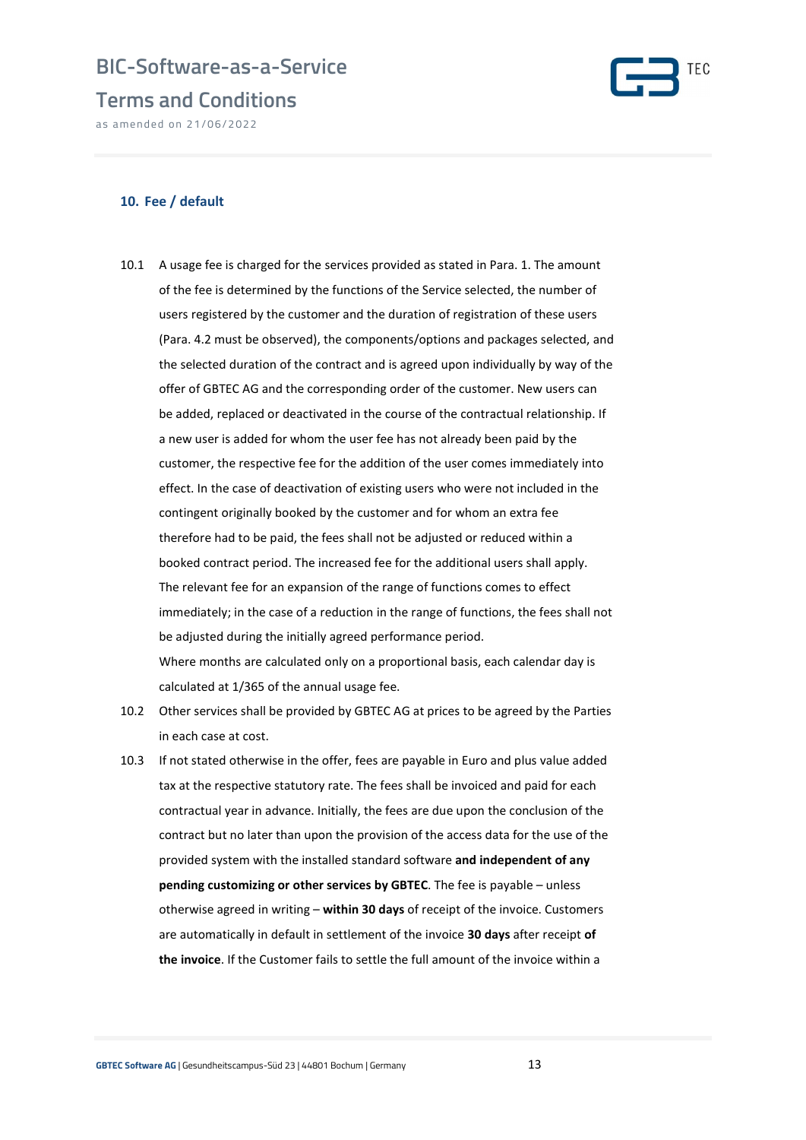### Terms and Conditions

as amended on 21/06/2022



### 10. Fee / default

- 10.1 A usage fee is charged for the services provided as stated in Para. 1. The amount of the fee is determined by the functions of the Service selected, the number of users registered by the customer and the duration of registration of these users (Para. 4.2 must be observed), the components/options and packages selected, and the selected duration of the contract and is agreed upon individually by way of the offer of GBTEC AG and the corresponding order of the customer. New users can be added, replaced or deactivated in the course of the contractual relationship. If a new user is added for whom the user fee has not already been paid by the customer, the respective fee for the addition of the user comes immediately into effect. In the case of deactivation of existing users who were not included in the contingent originally booked by the customer and for whom an extra fee therefore had to be paid, the fees shall not be adjusted or reduced within a booked contract period. The increased fee for the additional users shall apply. The relevant fee for an expansion of the range of functions comes to effect immediately; in the case of a reduction in the range of functions, the fees shall not be adjusted during the initially agreed performance period. Where months are calculated only on a proportional basis, each calendar day is calculated at 1/365 of the annual usage fee.
- 10.2 Other services shall be provided by GBTEC AG at prices to be agreed by the Parties in each case at cost.
- 10.3 If not stated otherwise in the offer, fees are payable in Euro and plus value added tax at the respective statutory rate. The fees shall be invoiced and paid for each contractual year in advance. Initially, the fees are due upon the conclusion of the contract but no later than upon the provision of the access data for the use of the provided system with the installed standard software and independent of any pending customizing or other services by GBTEC. The fee is payable – unless otherwise agreed in writing - within 30 days of receipt of the invoice. Customers are automatically in default in settlement of the invoice 30 days after receipt of the invoice. If the Customer fails to settle the full amount of the invoice within a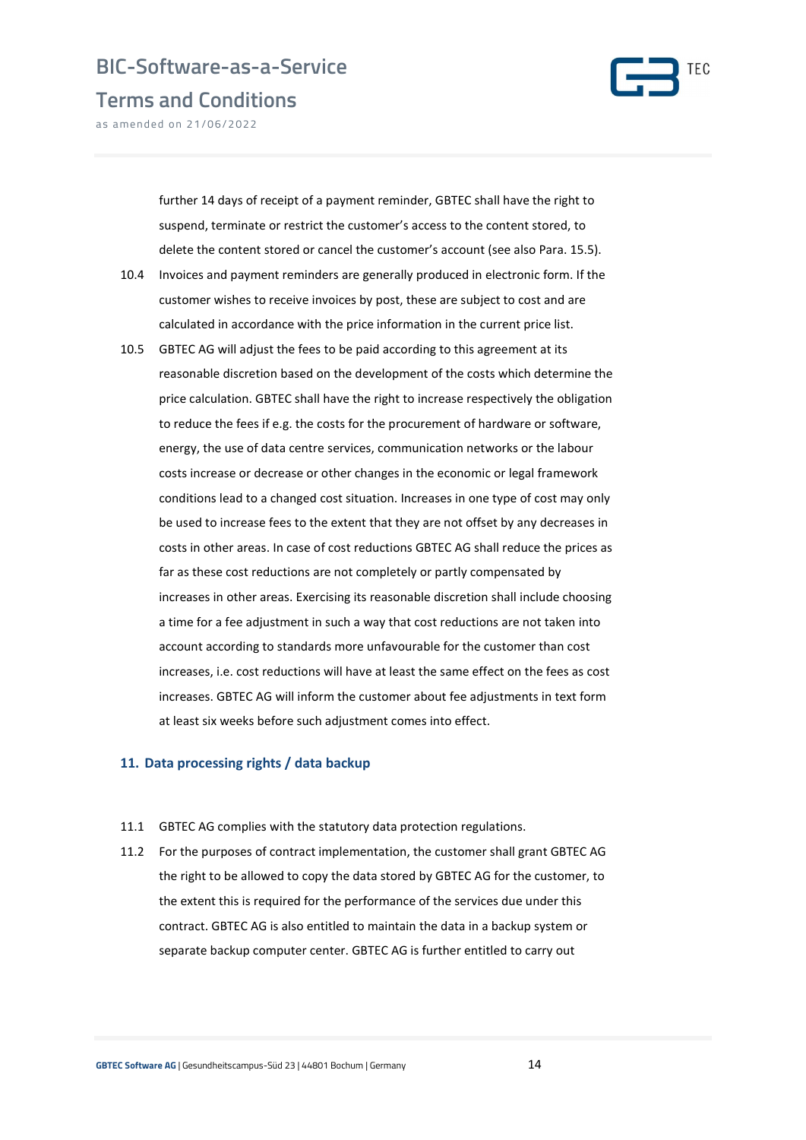

Terms and Conditions

as amended on 21/06/2022

further 14 days of receipt of a payment reminder, GBTEC shall have the right to suspend, terminate or restrict the customer's access to the content stored, to delete the content stored or cancel the customer's account (see also Para. 15.5).

- 10.4 Invoices and payment reminders are generally produced in electronic form. If the customer wishes to receive invoices by post, these are subject to cost and are calculated in accordance with the price information in the current price list.
- 10.5 GBTEC AG will adjust the fees to be paid according to this agreement at its reasonable discretion based on the development of the costs which determine the price calculation. GBTEC shall have the right to increase respectively the obligation to reduce the fees if e.g. the costs for the procurement of hardware or software, energy, the use of data centre services, communication networks or the labour costs increase or decrease or other changes in the economic or legal framework conditions lead to a changed cost situation. Increases in one type of cost may only be used to increase fees to the extent that they are not offset by any decreases in costs in other areas. In case of cost reductions GBTEC AG shall reduce the prices as far as these cost reductions are not completely or partly compensated by increases in other areas. Exercising its reasonable discretion shall include choosing a time for a fee adjustment in such a way that cost reductions are not taken into account according to standards more unfavourable for the customer than cost increases, i.e. cost reductions will have at least the same effect on the fees as cost increases. GBTEC AG will inform the customer about fee adjustments in text form at least six weeks before such adjustment comes into effect.

#### 11. Data processing rights / data backup

- 11.1 GBTEC AG complies with the statutory data protection regulations.
- 11.2 For the purposes of contract implementation, the customer shall grant GBTEC AG the right to be allowed to copy the data stored by GBTEC AG for the customer, to the extent this is required for the performance of the services due under this contract. GBTEC AG is also entitled to maintain the data in a backup system or separate backup computer center. GBTEC AG is further entitled to carry out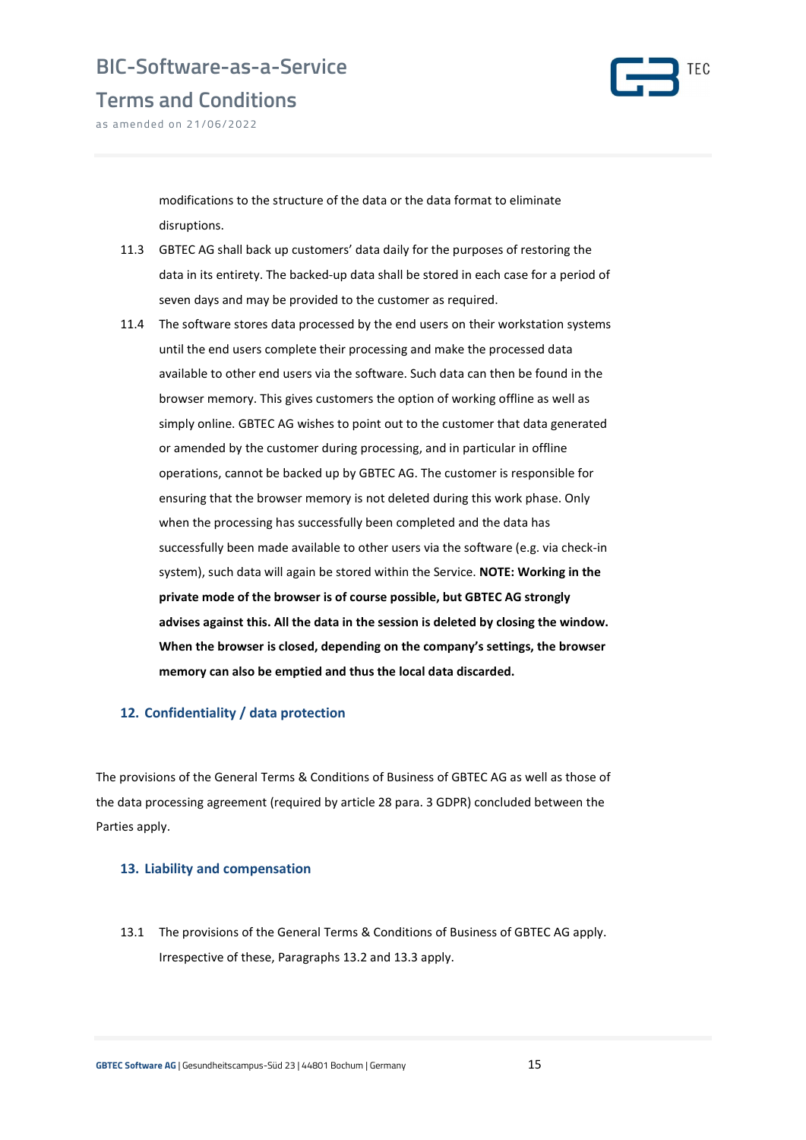

Terms and Conditions

as amended on 21/06/2022

modifications to the structure of the data or the data format to eliminate disruptions.

- 11.3 GBTEC AG shall back up customers' data daily for the purposes of restoring the data in its entirety. The backed-up data shall be stored in each case for a period of seven days and may be provided to the customer as required.
- 11.4 The software stores data processed by the end users on their workstation systems until the end users complete their processing and make the processed data available to other end users via the software. Such data can then be found in the browser memory. This gives customers the option of working offline as well as simply online. GBTEC AG wishes to point out to the customer that data generated or amended by the customer during processing, and in particular in offline operations, cannot be backed up by GBTEC AG. The customer is responsible for ensuring that the browser memory is not deleted during this work phase. Only when the processing has successfully been completed and the data has successfully been made available to other users via the software (e.g. via check-in system), such data will again be stored within the Service. NOTE: Working in the private mode of the browser is of course possible, but GBTEC AG strongly advises against this. All the data in the session is deleted by closing the window. When the browser is closed, depending on the company's settings, the browser memory can also be emptied and thus the local data discarded.

#### 12. Confidentiality / data protection

The provisions of the General Terms & Conditions of Business of GBTEC AG as well as those of the data processing agreement (required by article 28 para. 3 GDPR) concluded between the Parties apply.

#### 13. Liability and compensation

13.1 The provisions of the General Terms & Conditions of Business of GBTEC AG apply. Irrespective of these, Paragraphs 13.2 and 13.3 apply.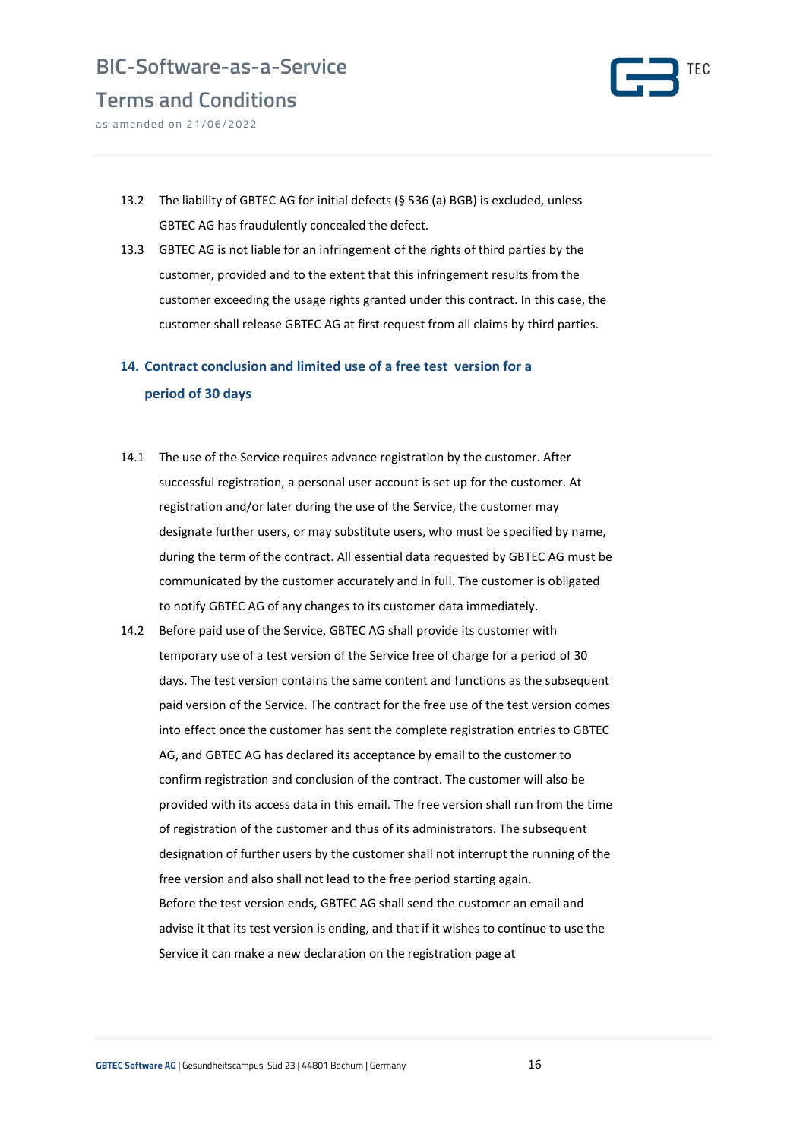

Terms and Conditions as amended on 21/06/2022

13.2 The liability of GBTEC AG for initial defects (§ 536 (a) BGB) is excluded, unless

GBTEC AG has fraudulently concealed the defect.

13.3 GBTEC AG is not liable for an infringement of the rights of third parties by the customer, provided and to the extent that this infringement results from the customer exceeding the usage rights granted under this contract. In this case, the customer shall release GBTEC AG at first request from all claims by third parties.

### 14. Contract conclusion and limited use of a free test version for a period of 30 days

- 14.1 The use of the Service requires advance registration by the customer. After successful registration, a personal user account is set up for the customer. At registration and/or later during the use of the Service, the customer may designate further users, or may substitute users, who must be specified by name, during the term of the contract. All essential data requested by GBTEC AG must be communicated by the customer accurately and in full. The customer is obligated to notify GBTEC AG of any changes to its customer data immediately.
- 14.2 Before paid use of the Service, GBTEC AG shall provide its customer with temporary use of a test version of the Service free of charge for a period of 30 days. The test version contains the same content and functions as the subsequent paid version of the Service. The contract for the free use of the test version comes into effect once the customer has sent the complete registration entries to GBTEC AG, and GBTEC AG has declared its acceptance by email to the customer to confirm registration and conclusion of the contract. The customer will also be provided with its access data in this email. The free version shall run from the time of registration of the customer and thus of its administrators. The subsequent designation of further users by the customer shall not interrupt the running of the free version and also shall not lead to the free period starting again. Before the test version ends, GBTEC AG shall send the customer an email and advise it that its test version is ending, and that if it wishes to continue to use the Service it can make a new declaration on the registration page at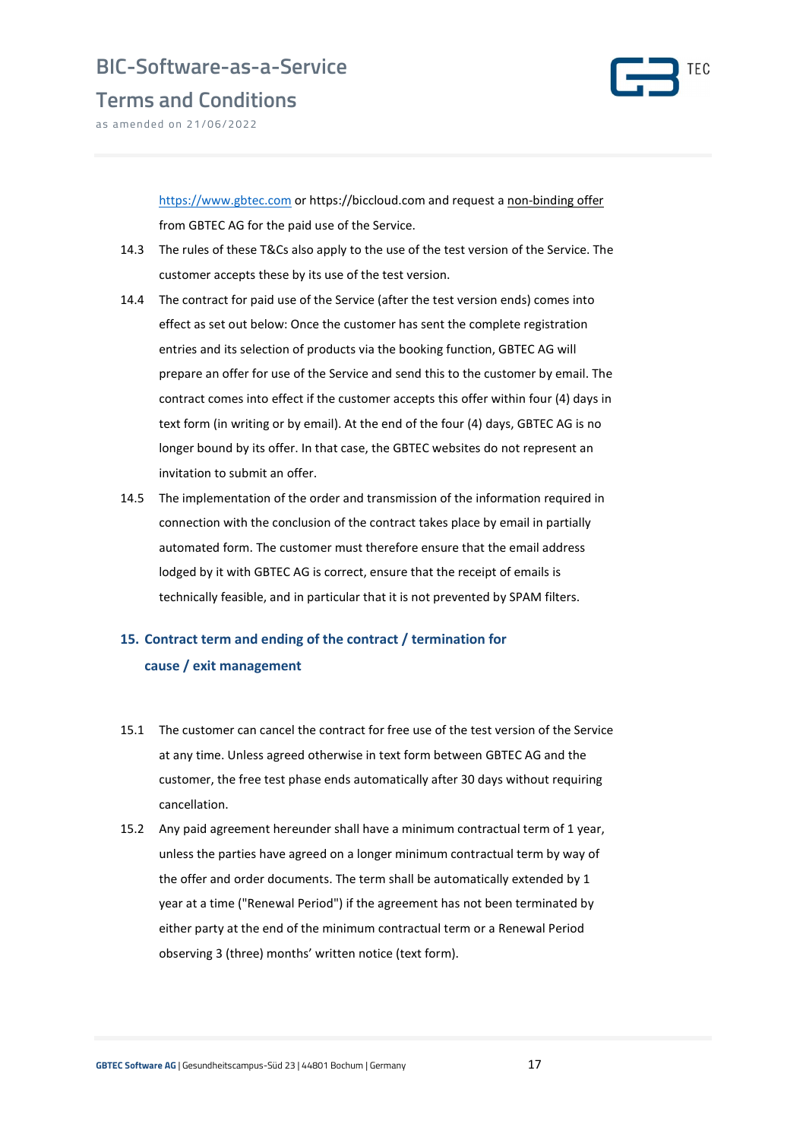

Terms and Conditions

as amended on 21/06/2022

https://www.gbtec.com or https://biccloud.com and request a non-binding offer from GBTEC AG for the paid use of the Service.

- 14.3 The rules of these T&Cs also apply to the use of the test version of the Service. The customer accepts these by its use of the test version.
- 14.4 The contract for paid use of the Service (after the test version ends) comes into effect as set out below: Once the customer has sent the complete registration entries and its selection of products via the booking function, GBTEC AG will prepare an offer for use of the Service and send this to the customer by email. The contract comes into effect if the customer accepts this offer within four (4) days in text form (in writing or by email). At the end of the four (4) days, GBTEC AG is no longer bound by its offer. In that case, the GBTEC websites do not represent an invitation to submit an offer.
- 14.5 The implementation of the order and transmission of the information required in connection with the conclusion of the contract takes place by email in partially automated form. The customer must therefore ensure that the email address lodged by it with GBTEC AG is correct, ensure that the receipt of emails is technically feasible, and in particular that it is not prevented by SPAM filters.

### 15. Contract term and ending of the contract / termination for cause / exit management

- 15.1 The customer can cancel the contract for free use of the test version of the Service at any time. Unless agreed otherwise in text form between GBTEC AG and the customer, the free test phase ends automatically after 30 days without requiring cancellation.
- 15.2 Any paid agreement hereunder shall have a minimum contractual term of 1 year, unless the parties have agreed on a longer minimum contractual term by way of the offer and order documents. The term shall be automatically extended by 1 year at a time ("Renewal Period") if the agreement has not been terminated by either party at the end of the minimum contractual term or a Renewal Period observing 3 (three) months' written notice (text form).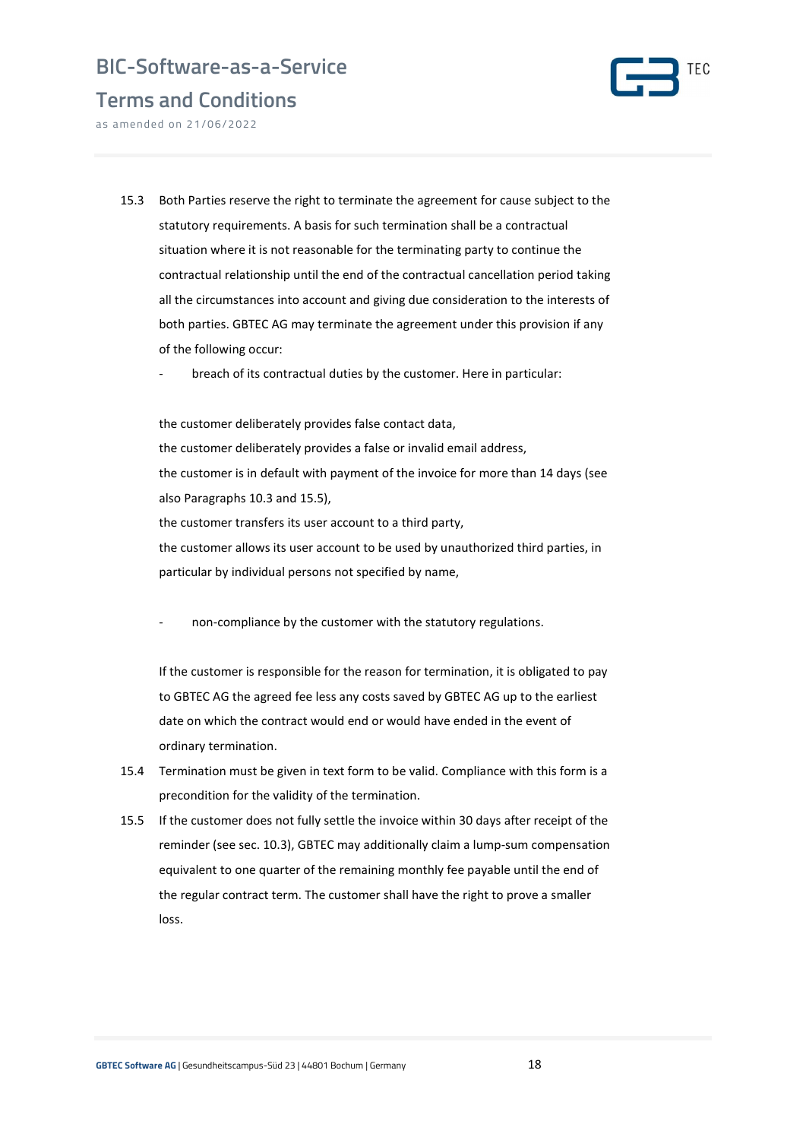

Terms and Conditions

as amended on 21/06/2022

- 15.3 Both Parties reserve the right to terminate the agreement for cause subject to the statutory requirements. A basis for such termination shall be a contractual situation where it is not reasonable for the terminating party to continue the contractual relationship until the end of the contractual cancellation period taking all the circumstances into account and giving due consideration to the interests of both parties. GBTEC AG may terminate the agreement under this provision if any of the following occur:
	- breach of its contractual duties by the customer. Here in particular:

the customer deliberately provides false contact data, the customer deliberately provides a false or invalid email address, the customer is in default with payment of the invoice for more than 14 days (see also Paragraphs 10.3 and 15.5), the customer transfers its user account to a third party, the customer allows its user account to be used by unauthorized third parties, in particular by individual persons not specified by name,

non-compliance by the customer with the statutory regulations.

If the customer is responsible for the reason for termination, it is obligated to pay to GBTEC AG the agreed fee less any costs saved by GBTEC AG up to the earliest date on which the contract would end or would have ended in the event of ordinary termination.

- 15.4 Termination must be given in text form to be valid. Compliance with this form is a precondition for the validity of the termination.
- 15.5 If the customer does not fully settle the invoice within 30 days after receipt of the reminder (see sec. 10.3), GBTEC may additionally claim a lump-sum compensation equivalent to one quarter of the remaining monthly fee payable until the end of the regular contract term. The customer shall have the right to prove a smaller loss.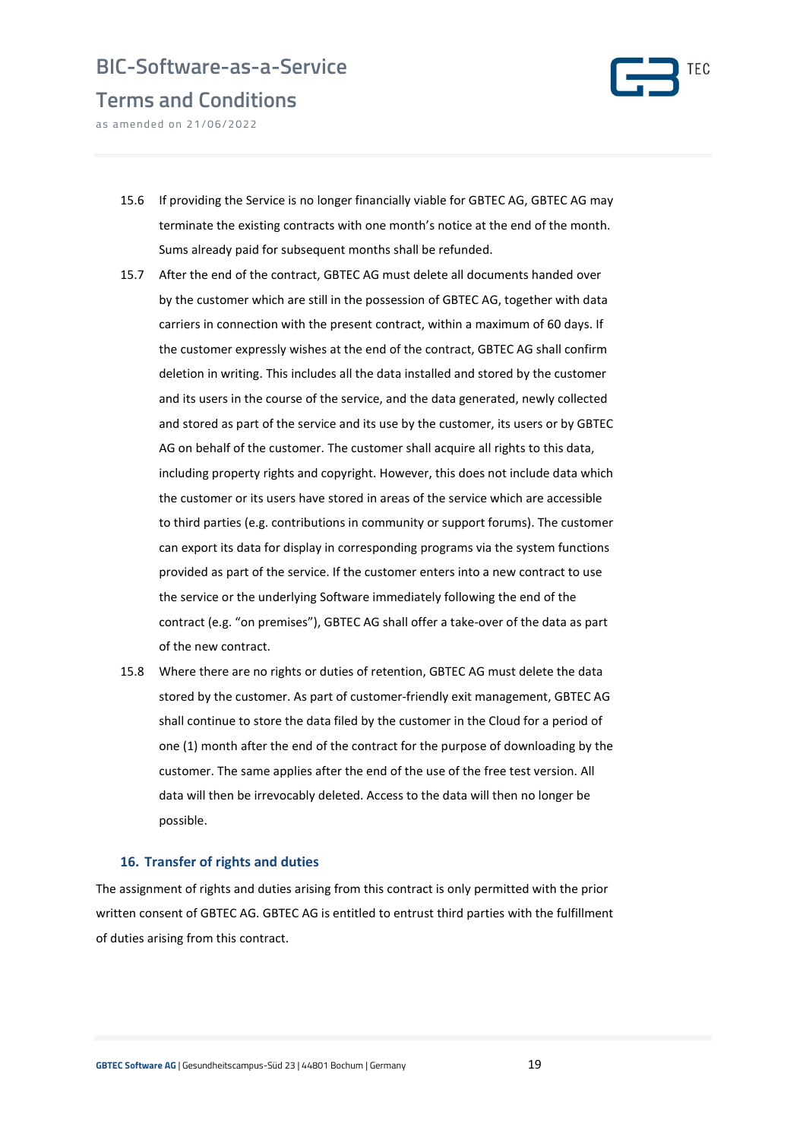# BIC-Software-as-a-Service Terms and Conditions



as amended on 21/06/2022

- 15.6 If providing the Service is no longer financially viable for GBTEC AG, GBTEC AG may terminate the existing contracts with one month's notice at the end of the month. Sums already paid for subsequent months shall be refunded.
- 15.7 After the end of the contract, GBTEC AG must delete all documents handed over by the customer which are still in the possession of GBTEC AG, together with data carriers in connection with the present contract, within a maximum of 60 days. If the customer expressly wishes at the end of the contract, GBTEC AG shall confirm deletion in writing. This includes all the data installed and stored by the customer and its users in the course of the service, and the data generated, newly collected and stored as part of the service and its use by the customer, its users or by GBTEC AG on behalf of the customer. The customer shall acquire all rights to this data, including property rights and copyright. However, this does not include data which the customer or its users have stored in areas of the service which are accessible to third parties (e.g. contributions in community or support forums). The customer can export its data for display in corresponding programs via the system functions provided as part of the service. If the customer enters into a new contract to use the service or the underlying Software immediately following the end of the contract (e.g. "on premises"), GBTEC AG shall offer a take-over of the data as part of the new contract.
- 15.8 Where there are no rights or duties of retention, GBTEC AG must delete the data stored by the customer. As part of customer-friendly exit management, GBTEC AG shall continue to store the data filed by the customer in the Cloud for a period of one (1) month after the end of the contract for the purpose of downloading by the customer. The same applies after the end of the use of the free test version. All data will then be irrevocably deleted. Access to the data will then no longer be possible.

#### 16. Transfer of rights and duties

The assignment of rights and duties arising from this contract is only permitted with the prior written consent of GBTEC AG. GBTEC AG is entitled to entrust third parties with the fulfillment of duties arising from this contract.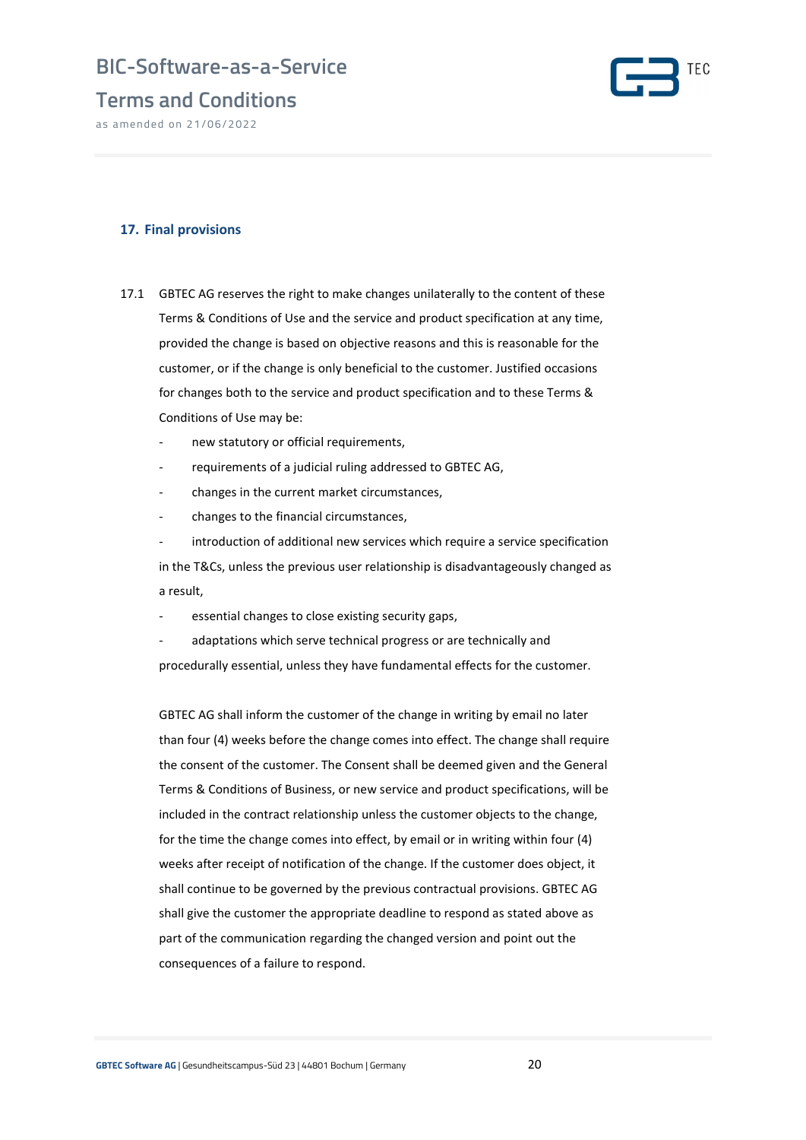### Terms and Conditions

as amended on 21/06/2022



### 17. Final provisions

- 17.1 GBTEC AG reserves the right to make changes unilaterally to the content of these Terms & Conditions of Use and the service and product specification at any time, provided the change is based on objective reasons and this is reasonable for the customer, or if the change is only beneficial to the customer. Justified occasions for changes both to the service and product specification and to these Terms & Conditions of Use may be:
	- new statutory or official requirements,
	- requirements of a judicial ruling addressed to GBTEC AG,
	- changes in the current market circumstances,
	- changes to the financial circumstances,

introduction of additional new services which require a service specification in the T&Cs, unless the previous user relationship is disadvantageously changed as a result,

- essential changes to close existing security gaps,
- adaptations which serve technical progress or are technically and procedurally essential, unless they have fundamental effects for the customer.

GBTEC AG shall inform the customer of the change in writing by email no later than four (4) weeks before the change comes into effect. The change shall require the consent of the customer. The Consent shall be deemed given and the General Terms & Conditions of Business, or new service and product specifications, will be included in the contract relationship unless the customer objects to the change, for the time the change comes into effect, by email or in writing within four (4) weeks after receipt of notification of the change. If the customer does object, it shall continue to be governed by the previous contractual provisions. GBTEC AG shall give the customer the appropriate deadline to respond as stated above as part of the communication regarding the changed version and point out the consequences of a failure to respond.